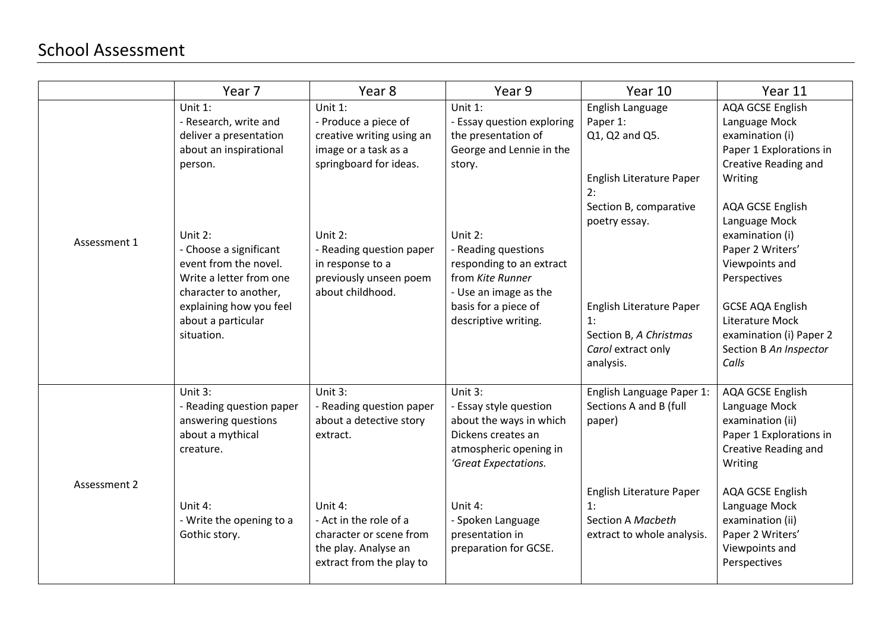## School Assessment

|              | Year 7                                                                                                                                                                          | Year 8                                                                                                           | Year 9                                                                                                                                                  | Year 10                                                                                                      | Year 11                                                                                                                                                                                            |
|--------------|---------------------------------------------------------------------------------------------------------------------------------------------------------------------------------|------------------------------------------------------------------------------------------------------------------|---------------------------------------------------------------------------------------------------------------------------------------------------------|--------------------------------------------------------------------------------------------------------------|----------------------------------------------------------------------------------------------------------------------------------------------------------------------------------------------------|
| Assessment 1 | Unit 1:<br>- Research, write and<br>deliver a presentation<br>about an inspirational<br>person.                                                                                 | Unit 1:<br>- Produce a piece of<br>creative writing using an<br>image or a task as a<br>springboard for ideas.   | Unit 1:<br>- Essay question exploring<br>the presentation of<br>George and Lennie in the<br>story.                                                      | English Language<br>Paper 1:<br>Q1, Q2 and Q5.<br>English Literature Paper<br>2:<br>Section B, comparative   | AQA GCSE English<br>Language Mock<br>examination (i)<br>Paper 1 Explorations in<br>Creative Reading and<br>Writing<br>AQA GCSE English                                                             |
|              | Unit $2:$<br>- Choose a significant<br>event from the novel.<br>Write a letter from one<br>character to another,<br>explaining how you feel<br>about a particular<br>situation. | Unit 2:<br>- Reading question paper<br>in response to a<br>previously unseen poem<br>about childhood.            | Unit 2:<br>- Reading questions<br>responding to an extract<br>from Kite Runner<br>- Use an image as the<br>basis for a piece of<br>descriptive writing. | poetry essay.<br>English Literature Paper<br>1:<br>Section B, A Christmas<br>Carol extract only<br>analysis. | Language Mock<br>examination (i)<br>Paper 2 Writers'<br>Viewpoints and<br>Perspectives<br><b>GCSE AQA English</b><br>Literature Mock<br>examination (i) Paper 2<br>Section B An Inspector<br>Calls |
| Assessment 2 | Unit $3:$<br>- Reading question paper<br>answering questions<br>about a mythical<br>creature.                                                                                   | Unit 3:<br>- Reading question paper<br>about a detective story<br>extract.                                       | Unit 3:<br>- Essay style question<br>about the ways in which<br>Dickens creates an<br>atmospheric opening in<br>'Great Expectations.                    | English Language Paper 1:<br>Sections A and B (full<br>paper)                                                | AQA GCSE English<br>Language Mock<br>examination (ii)<br>Paper 1 Explorations in<br>Creative Reading and<br>Writing                                                                                |
|              | Unit 4:<br>- Write the opening to a<br>Gothic story.                                                                                                                            | Unit 4:<br>- Act in the role of a<br>character or scene from<br>the play. Analyse an<br>extract from the play to | Unit 4:<br>- Spoken Language<br>presentation in<br>preparation for GCSE.                                                                                | English Literature Paper<br>1:<br>Section A Macbeth<br>extract to whole analysis.                            | AQA GCSE English<br>Language Mock<br>examination (ii)<br>Paper 2 Writers'<br>Viewpoints and<br>Perspectives                                                                                        |